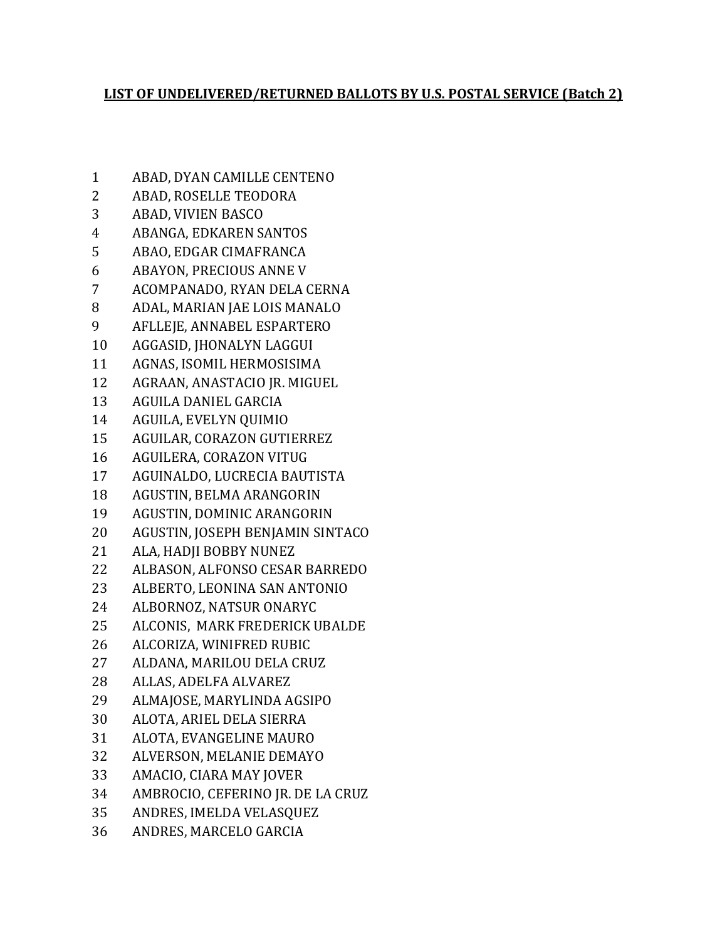## **LIST OF UNDELIVERED/RETURNED BALLOTS BY U.S. POSTAL SERVICE (Batch 2)**

 ABAD, DYAN CAMILLE CENTENO ABAD, ROSELLE TEODORA ABAD, VIVIEN BASCO ABANGA, EDKAREN SANTOS ABAO, EDGAR CIMAFRANCA ABAYON, PRECIOUS ANNE V ACOMPANADO, RYAN DELA CERNA ADAL, MARIAN JAE LOIS MANALO AFLLEJE, ANNABEL ESPARTERO AGGASID, JHONALYN LAGGUI AGNAS, ISOMIL HERMOSISIMA AGRAAN, ANASTACIO JR. MIGUEL AGUILA DANIEL GARCIA AGUILA, EVELYN QUIMIO AGUILAR, CORAZON GUTIERREZ AGUILERA, CORAZON VITUG AGUINALDO, LUCRECIA BAUTISTA AGUSTIN, BELMA ARANGORIN AGUSTIN, DOMINIC ARANGORIN AGUSTIN, JOSEPH BENJAMIN SINTACO ALA, HADJI BOBBY NUNEZ ALBASON, ALFONSO CESAR BARREDO ALBERTO, LEONINA SAN ANTONIO ALBORNOZ, NATSUR ONARYC ALCONIS, MARK FREDERICK UBALDE ALCORIZA, WINIFRED RUBIC ALDANA, MARILOU DELA CRUZ ALLAS, ADELFA ALVAREZ ALMAJOSE, MARYLINDA AGSIPO ALOTA, ARIEL DELA SIERRA ALOTA, EVANGELINE MAURO ALVERSON, MELANIE DEMAYO AMACIO, CIARA MAY JOVER AMBROCIO, CEFERINO JR. DE LA CRUZ ANDRES, IMELDA VELASQUEZ ANDRES, MARCELO GARCIA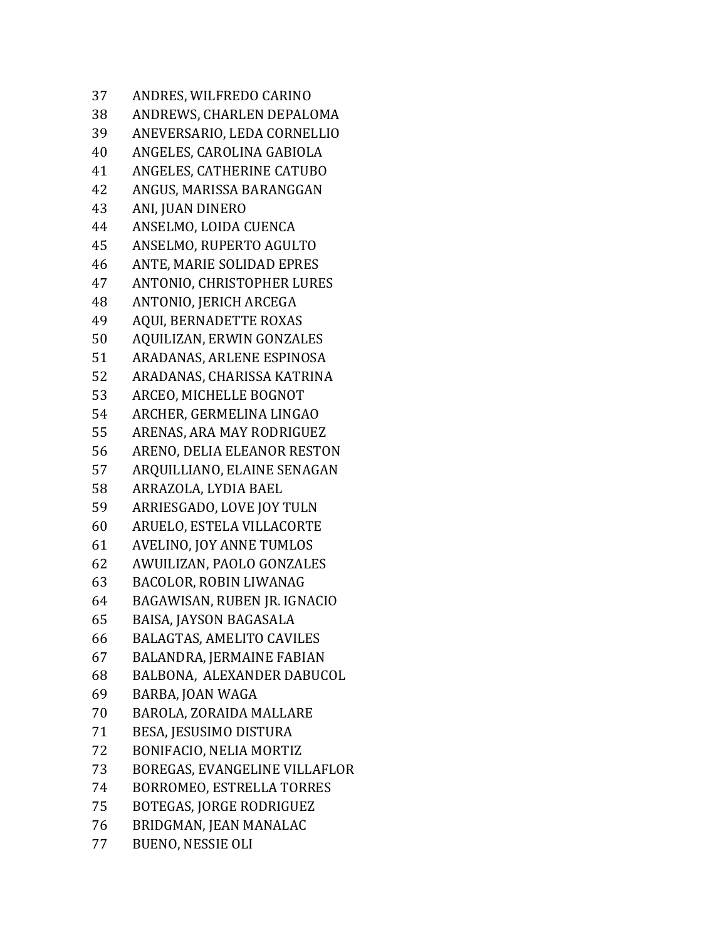ANDRES, WILFREDO CARINO ANDREWS, CHARLEN DEPALOMA ANEVERSARIO, LEDA CORNELLIO ANGELES, CAROLINA GABIOLA ANGELES, CATHERINE CATUBO ANGUS, MARISSA BARANGGAN ANI, JUAN DINERO ANSELMO, LOIDA CUENCA ANSELMO, RUPERTO AGULTO ANTE, MARIE SOLIDAD EPRES ANTONIO, CHRISTOPHER LURES ANTONIO, JERICH ARCEGA AQUI, BERNADETTE ROXAS AQUILIZAN, ERWIN GONZALES ARADANAS, ARLENE ESPINOSA ARADANAS, CHARISSA KATRINA ARCEO, MICHELLE BOGNOT ARCHER, GERMELINA LINGAO ARENAS, ARA MAY RODRIGUEZ ARENO, DELIA ELEANOR RESTON ARQUILLIANO, ELAINE SENAGAN ARRAZOLA, LYDIA BAEL ARRIESGADO, LOVE JOY TULN ARUELO, ESTELA VILLACORTE AVELINO, JOY ANNE TUMLOS AWUILIZAN, PAOLO GONZALES BACOLOR, ROBIN LIWANAG BAGAWISAN, RUBEN JR. IGNACIO BAISA, JAYSON BAGASALA BALAGTAS, AMELITO CAVILES BALANDRA, JERMAINE FABIAN BALBONA, ALEXANDER DABUCOL BARBA, JOAN WAGA BAROLA, ZORAIDA MALLARE BESA, JESUSIMO DISTURA BONIFACIO, NELIA MORTIZ BOREGAS, EVANGELINE VILLAFLOR BORROMEO, ESTRELLA TORRES BOTEGAS, JORGE RODRIGUEZ BRIDGMAN, JEAN MANALAC BUENO, NESSIE OLI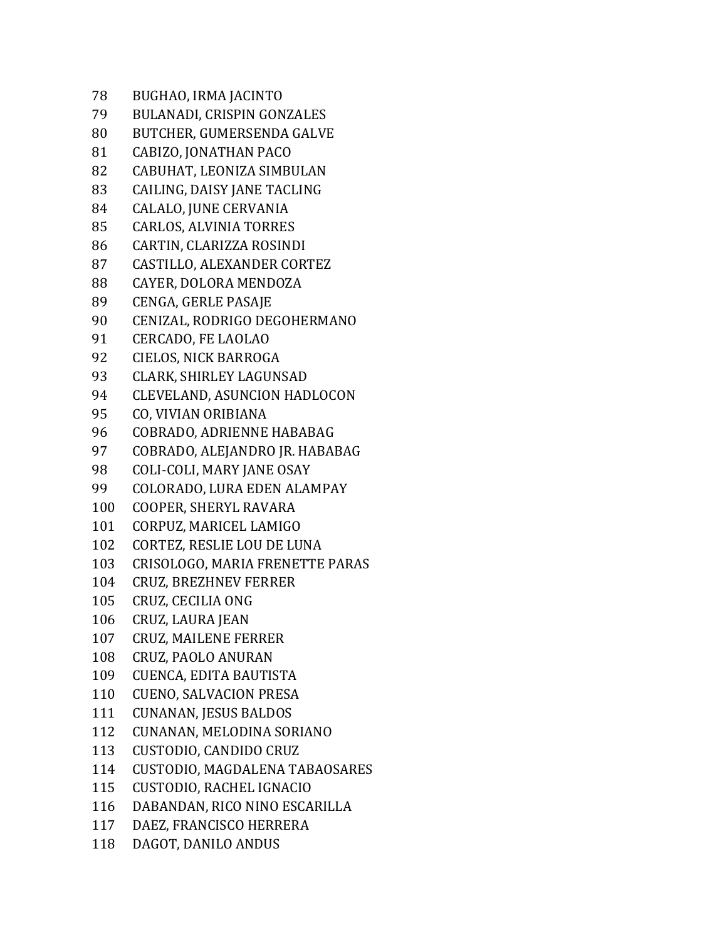| BUGHAO, IRMA JACINTO                |
|-------------------------------------|
| <b>BULANADI, CRISPIN GONZALES</b>   |
| BUTCHER, GUMERSENDA GALVE           |
| CABIZO, JONATHAN PACO               |
| CABUHAT, LEONIZA SIMBULAN           |
| CAILING, DAISY JANE TACLING         |
| CALALO, JUNE CERVANIA               |
| <b>CARLOS, ALVINIA TORRES</b>       |
| CARTIN, CLARIZZA ROSINDI            |
| CASTILLO, ALEXANDER CORTEZ          |
| CAYER, DOLORA MENDOZA               |
| CENGA, GERLE PASAJE                 |
| CENIZAL, RODRIGO DEGOHERMANO        |
| <b>CERCADO, FE LAOLAO</b>           |
| CIELOS, NICK BARROGA                |
| CLARK, SHIRLEY LAGUNSAD             |
| <b>CLEVELAND, ASUNCION HADLOCON</b> |
| CO, VIVIAN ORIBIANA                 |
| COBRADO, ADRIENNE HABABAG           |
| COBRADO, ALEJANDRO JR. HABABAG      |
| <b>COLI-COLI, MARY JANE OSAY</b>    |
| COLORADO, LURA EDEN ALAMPAY         |
| COOPER, SHERYL RAVARA               |
| CORPUZ, MARICEL LAMIGO              |
| CORTEZ, RESLIE LOU DE LUNA          |
| CRISOLOGO, MARIA FRENETTE PARAS     |
| <b>CRUZ, BREZHNEV FERRER</b>        |
| CRUZ, CECILIA ONG                   |
| CRUZ, LAURA JEAN                    |
| <b>CRUZ, MAILENE FERRER</b>         |
| CRUZ, PAOLO ANURAN                  |
| CUENCA, EDITA BAUTISTA              |
| <b>CUENO, SALVACION PRESA</b>       |
| <b>CUNANAN, JESUS BALDOS</b>        |
| CUNANAN, MELODINA SORIANO           |
| CUSTODIO, CANDIDO CRUZ              |
| CUSTODIO, MAGDALENA TABAOSARES      |
| CUSTODIO, RACHEL IGNACIO            |
| DABANDAN, RICO NINO ESCARILLA       |
| DAEZ, FRANCISCO HERRERA             |
| DAGOT, DANILO ANDUS                 |
|                                     |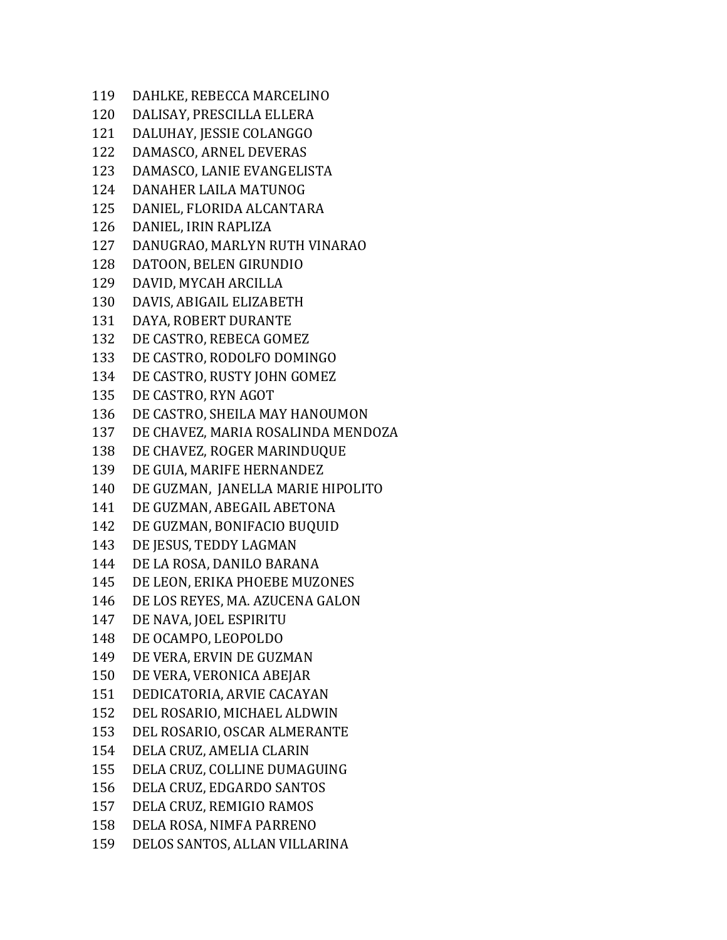| 119 | DAHLKE, REBECCA MARCELINO          |
|-----|------------------------------------|
| 120 | DALISAY, PRESCILLA ELLERA          |
| 121 | DALUHAY, JESSIE COLANGGO           |
| 122 | DAMASCO, ARNEL DEVERAS             |
| 123 | DAMASCO, LANIE EVANGELISTA         |
| 124 | DANAHER LAILA MATUNOG              |
| 125 | DANIEL, FLORIDA ALCANTARA          |
| 126 | DANIEL, IRIN RAPLIZA               |
| 127 | DANUGRAO, MARLYN RUTH VINARAO      |
| 128 | DATOON, BELEN GIRUNDIO             |
| 129 | DAVID, MYCAH ARCILLA               |
| 130 | DAVIS, ABIGAIL ELIZABETH           |
| 131 | DAYA, ROBERT DURANTE               |
| 132 | DE CASTRO, REBECA GOMEZ            |
| 133 | DE CASTRO, RODOLFO DOMINGO         |
| 134 | DE CASTRO, RUSTY JOHN GOMEZ        |
| 135 | DE CASTRO, RYN AGOT                |
| 136 | DE CASTRO, SHEILA MAY HANOUMON     |
| 137 | DE CHAVEZ, MARIA ROSALINDA MENDOZA |
| 138 | DE CHAVEZ, ROGER MARINDUQUE        |
| 139 | DE GUIA, MARIFE HERNANDEZ          |
| 140 | DE GUZMAN, JANELLA MARIE HIPOLITO  |
| 141 | DE GUZMAN, ABEGAIL ABETONA         |
| 142 | DE GUZMAN, BONIFACIO BUQUID        |
| 143 | DE JESUS, TEDDY LAGMAN             |
| 144 | DE LA ROSA, DANILO BARANA          |
| 145 | DE LEON, ERIKA PHOEBE MUZONES      |
| 146 | DE LOS REYES, MA. AZUCENA GALON    |
| 147 | DE NAVA, JOEL ESPIRITU             |
| 148 | DE OCAMPO, LEOPOLDO                |
| 149 | DE VERA, ERVIN DE GUZMAN           |
| 150 | DE VERA, VERONICA ABEJAR           |
| 151 | DEDICATORIA, ARVIE CACAYAN         |
| 152 | DEL ROSARIO, MICHAEL ALDWIN        |
| 153 | DEL ROSARIO, OSCAR ALMERANTE       |
| 154 | DELA CRUZ, AMELIA CLARIN           |
| 155 | DELA CRUZ, COLLINE DUMAGUING       |
| 156 | DELA CRUZ, EDGARDO SANTOS          |
| 157 | DELA CRUZ, REMIGIO RAMOS           |
| 158 | DELA ROSA, NIMFA PARRENO           |
| 159 | DELOS SANTOS, ALLAN VILLARINA      |